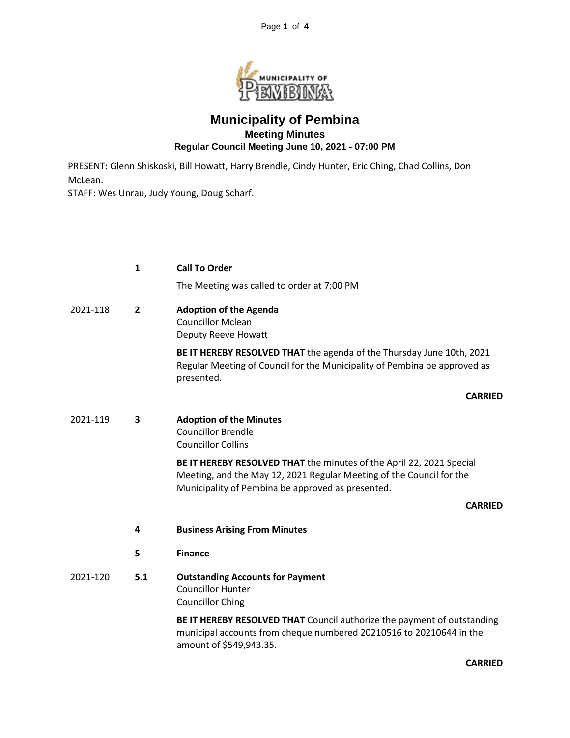

## **Municipality of Pembina Meeting Minutes Regular Council Meeting June 10, 2021 - 07:00 PM**

PRESENT: Glenn Shiskoski, Bill Howatt, Harry Brendle, Cindy Hunter, Eric Ching, Chad Collins, Don McLean.

STAFF: Wes Unrau, Judy Young, Doug Scharf.

|          | 1              | <b>Call To Order</b>                                                                                                                                                                              |
|----------|----------------|---------------------------------------------------------------------------------------------------------------------------------------------------------------------------------------------------|
|          |                | The Meeting was called to order at 7:00 PM                                                                                                                                                        |
| 2021-118 | $\overline{2}$ | <b>Adoption of the Agenda</b><br><b>Councillor Mclean</b><br>Deputy Reeve Howatt                                                                                                                  |
|          |                | BE IT HEREBY RESOLVED THAT the agenda of the Thursday June 10th, 2021<br>Regular Meeting of Council for the Municipality of Pembina be approved as<br>presented.                                  |
|          |                | <b>CARRIED</b>                                                                                                                                                                                    |
| 2021-119 | 3              | <b>Adoption of the Minutes</b><br><b>Councillor Brendle</b><br><b>Councillor Collins</b>                                                                                                          |
|          |                | BE IT HEREBY RESOLVED THAT the minutes of the April 22, 2021 Special<br>Meeting, and the May 12, 2021 Regular Meeting of the Council for the<br>Municipality of Pembina be approved as presented. |
|          |                | <b>CARRIED</b>                                                                                                                                                                                    |
|          | 4              | <b>Business Arising From Minutes</b>                                                                                                                                                              |
|          | 5              | <b>Finance</b>                                                                                                                                                                                    |
| 2021-120 | 5.1            | <b>Outstanding Accounts for Payment</b><br><b>Councillor Hunter</b><br><b>Councillor Ching</b>                                                                                                    |
|          |                | BE IT HEREBY RESOLVED THAT Council authorize the payment of outstanding<br>municipal accounts from cheque numbered 20210516 to 20210644 in the<br>amount of \$549,943.35.                         |

**CARRIED**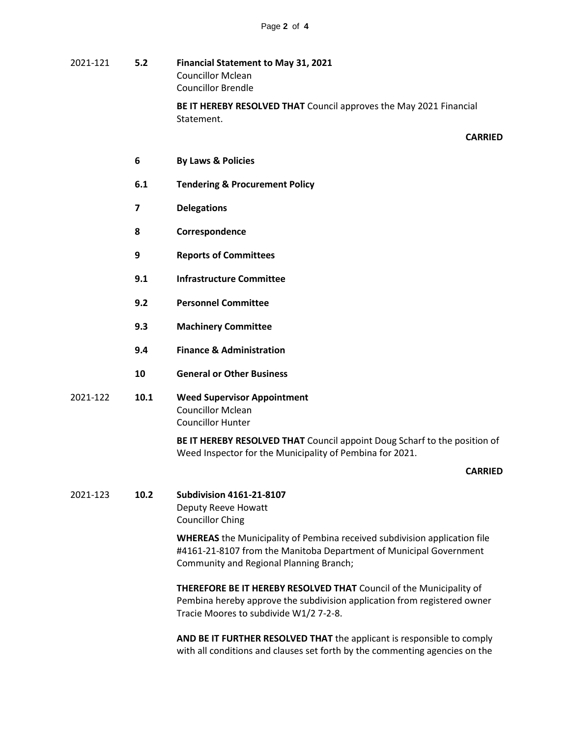- 2021-121 **5.2 Financial Statement to May 31, 2021** Councillor Mclean Councillor Brendle **BE IT HEREBY RESOLVED THAT** Council approves the May 2021 Financial Statement. **CARRIED**
	- **6 By Laws & Policies**
	- **6.1 Tendering & Procurement Policy**
	- **7 Delegations**
	- **8 Correspondence**
	- **9 Reports of Committees**
	- **9.1 Infrastructure Committee**
	- **9.2 Personnel Committee**
	- **9.3 Machinery Committee**
	- **9.4 Finance & Administration**
	- **10 General or Other Business**
- 2021-122 **10.1 Weed Supervisor Appointment** Councillor Mclean Councillor Hunter

**BE IT HEREBY RESOLVED THAT** Council appoint Doug Scharf to the position of Weed Inspector for the Municipality of Pembina for 2021.

## **CARRIED**

2021-123 **10.2 Subdivision 4161-21-8107** Deputy Reeve Howatt Councillor Ching

> **WHEREAS** the Municipality of Pembina received subdivision application file #4161-21-8107 from the Manitoba Department of Municipal Government Community and Regional Planning Branch;

> **THEREFORE BE IT HEREBY RESOLVED THAT** Council of the Municipality of Pembina hereby approve the subdivision application from registered owner Tracie Moores to subdivide W1/2 7-2-8.

> **AND BE IT FURTHER RESOLVED THAT** the applicant is responsible to comply with all conditions and clauses set forth by the commenting agencies on the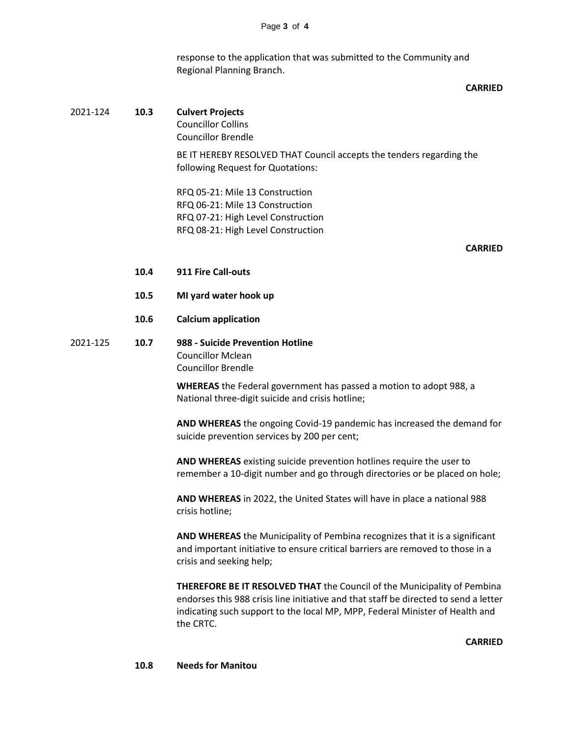response to the application that was submitted to the Community and Regional Planning Branch.

## **CARRIED**

| 2021-124 | 10.3 | <b>Culvert Projects</b><br><b>Councillor Collins</b><br><b>Councillor Brendle</b>                                                                                                                                                                                    |
|----------|------|----------------------------------------------------------------------------------------------------------------------------------------------------------------------------------------------------------------------------------------------------------------------|
|          |      | BE IT HEREBY RESOLVED THAT Council accepts the tenders regarding the<br>following Request for Quotations:                                                                                                                                                            |
|          |      | RFQ 05-21: Mile 13 Construction<br>RFQ 06-21: Mile 13 Construction<br>RFQ 07-21: High Level Construction<br>RFQ 08-21: High Level Construction                                                                                                                       |
|          |      | <b>CARRIED</b>                                                                                                                                                                                                                                                       |
|          | 10.4 | 911 Fire Call-outs                                                                                                                                                                                                                                                   |
|          | 10.5 | MI yard water hook up                                                                                                                                                                                                                                                |
|          | 10.6 | <b>Calcium application</b>                                                                                                                                                                                                                                           |
| 2021-125 | 10.7 | 988 - Suicide Prevention Hotline<br><b>Councillor Mclean</b><br><b>Councillor Brendle</b>                                                                                                                                                                            |
|          |      | <b>WHEREAS</b> the Federal government has passed a motion to adopt 988, a<br>National three-digit suicide and crisis hotline;                                                                                                                                        |
|          |      | AND WHEREAS the ongoing Covid-19 pandemic has increased the demand for<br>suicide prevention services by 200 per cent;                                                                                                                                               |
|          |      | AND WHEREAS existing suicide prevention hotlines require the user to<br>remember a 10-digit number and go through directories or be placed on hole;                                                                                                                  |
|          |      | AND WHEREAS in 2022, the United States will have in place a national 988<br>crisis hotline;                                                                                                                                                                          |
|          |      | AND WHEREAS the Municipality of Pembina recognizes that it is a significant<br>and important initiative to ensure critical barriers are removed to those in a<br>crisis and seeking help;                                                                            |
|          |      | <b>THEREFORE BE IT RESOLVED THAT the Council of the Municipality of Pembina</b><br>endorses this 988 crisis line initiative and that staff be directed to send a letter<br>indicating such support to the local MP, MPP, Federal Minister of Health and<br>the CRTC. |
|          |      | <b>CARRIED</b>                                                                                                                                                                                                                                                       |